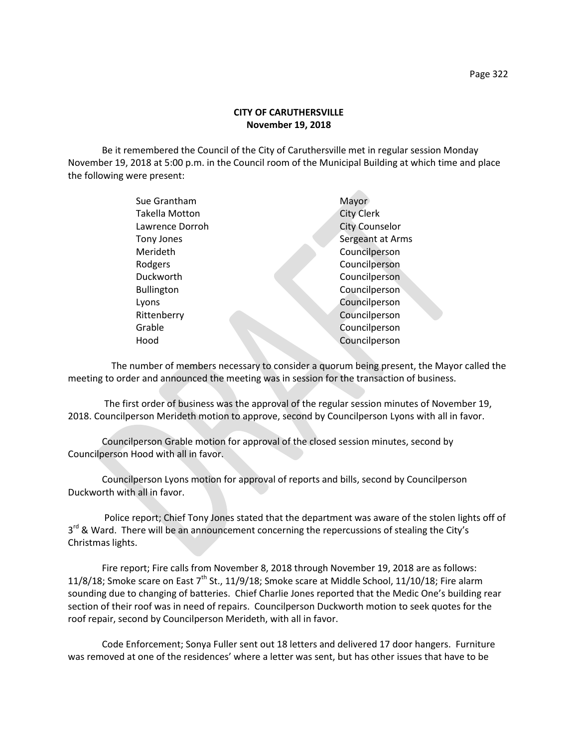## **CITY OF CARUTHERSVILLE November 19, 2018**

Be it remembered the Council of the City of Caruthersville met in regular session Monday November 19, 2018 at 5:00 p.m. in the Council room of the Municipal Building at which time and place the following were present:

| Sue Grantham          | Mayor                 |
|-----------------------|-----------------------|
| <b>Takella Motton</b> | <b>City Clerk</b>     |
| Lawrence Dorroh       | <b>City Counselor</b> |
| Tony Jones            | Sergeant at Arms      |
| Merideth              | Councilperson         |
| Rodgers               | Councilperson         |
| Duckworth             | Councilperson         |
| <b>Bullington</b>     | Councilperson         |
| Lyons                 | Councilperson         |
| Rittenberry           | Councilperson         |
| Grable                | Councilperson         |
| Hood                  | Councilperson         |
|                       |                       |

 The number of members necessary to consider a quorum being present, the Mayor called the meeting to order and announced the meeting was in session for the transaction of business.

The first order of business was the approval of the regular session minutes of November 19, 2018. Councilperson Merideth motion to approve, second by Councilperson Lyons with all in favor.

Councilperson Grable motion for approval of the closed session minutes, second by Councilperson Hood with all in favor.

Councilperson Lyons motion for approval of reports and bills, second by Councilperson Duckworth with all in favor.

Police report; Chief Tony Jones stated that the department was aware of the stolen lights off of 3<sup>rd</sup> & Ward. There will be an announcement concerning the repercussions of stealing the City's Christmas lights.

Fire report; Fire calls from November 8, 2018 through November 19, 2018 are as follows: 11/8/18; Smoke scare on East  $7<sup>th</sup>$  St., 11/9/18; Smoke scare at Middle School, 11/10/18; Fire alarm sounding due to changing of batteries. Chief Charlie Jones reported that the Medic One's building rear section of their roof was in need of repairs. Councilperson Duckworth motion to seek quotes for the roof repair, second by Councilperson Merideth, with all in favor.

Code Enforcement; Sonya Fuller sent out 18 letters and delivered 17 door hangers. Furniture was removed at one of the residences' where a letter was sent, but has other issues that have to be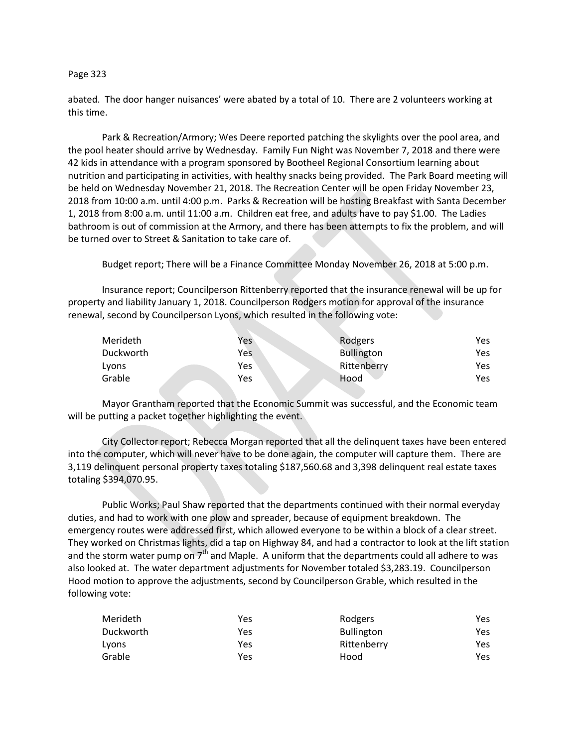## Page 323

abated. The door hanger nuisances' were abated by a total of 10. There are 2 volunteers working at this time.

Park & Recreation/Armory; Wes Deere reported patching the skylights over the pool area, and the pool heater should arrive by Wednesday. Family Fun Night was November 7, 2018 and there were 42 kids in attendance with a program sponsored by Bootheel Regional Consortium learning about nutrition and participating in activities, with healthy snacks being provided. The Park Board meeting will be held on Wednesday November 21, 2018. The Recreation Center will be open Friday November 23, 2018 from 10:00 a.m. until 4:00 p.m. Parks & Recreation will be hosting Breakfast with Santa December 1, 2018 from 8:00 a.m. until 11:00 a.m. Children eat free, and adults have to pay \$1.00. The Ladies bathroom is out of commission at the Armory, and there has been attempts to fix the problem, and will be turned over to Street & Sanitation to take care of.

Budget report; There will be a Finance Committee Monday November 26, 2018 at 5:00 p.m.

Insurance report; Councilperson Rittenberry reported that the insurance renewal will be up for property and liability January 1, 2018. Councilperson Rodgers motion for approval of the insurance renewal, second by Councilperson Lyons, which resulted in the following vote:

| Merideth  | Yes | Rodgers           | Yes. |
|-----------|-----|-------------------|------|
| Duckworth | Yes | <b>Bullington</b> | Yes  |
| Lyons     | Yes | Rittenberry       | Yes  |
| Grable    | Yes | Hood              | Yes. |

Mayor Grantham reported that the Economic Summit was successful, and the Economic team will be putting a packet together highlighting the event.

City Collector report; Rebecca Morgan reported that all the delinquent taxes have been entered into the computer, which will never have to be done again, the computer will capture them. There are 3,119 delinquent personal property taxes totaling \$187,560.68 and 3,398 delinquent real estate taxes totaling \$394,070.95.

Public Works; Paul Shaw reported that the departments continued with their normal everyday duties, and had to work with one plow and spreader, because of equipment breakdown. The emergency routes were addressed first, which allowed everyone to be within a block of a clear street. They worked on Christmas lights, did a tap on Highway 84, and had a contractor to look at the lift station and the storm water pump on  $7<sup>th</sup>$  and Maple. A uniform that the departments could all adhere to was also looked at. The water department adjustments for November totaled \$3,283.19. Councilperson Hood motion to approve the adjustments, second by Councilperson Grable, which resulted in the following vote:

| Merideth  | Yes | Rodgers           | Yes |
|-----------|-----|-------------------|-----|
| Duckworth | Yes | <b>Bullington</b> | Yes |
| Lyons     | Yes | Rittenberry       | Yes |
| Grable    | Yes | Hood              | Yes |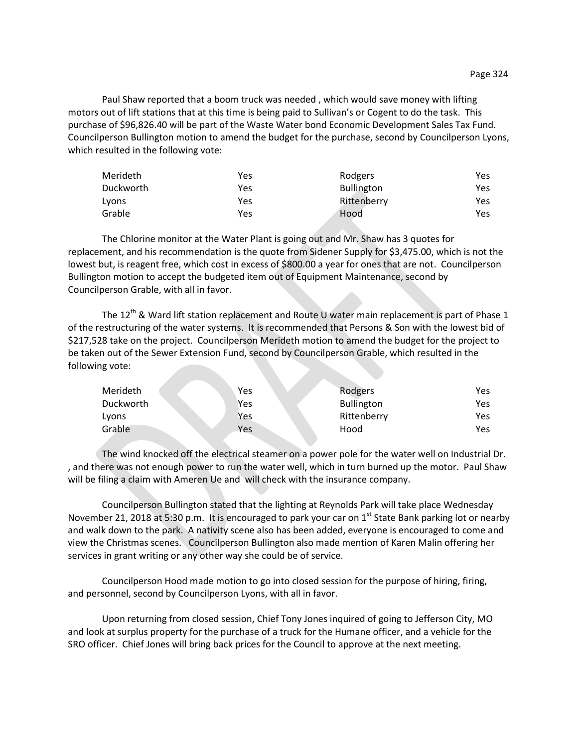Paul Shaw reported that a boom truck was needed , which would save money with lifting motors out of lift stations that at this time is being paid to Sullivan's or Cogent to do the task. This purchase of \$96,826.40 will be part of the Waste Water bond Economic Development Sales Tax Fund. Councilperson Bullington motion to amend the budget for the purchase, second by Councilperson Lyons, which resulted in the following vote:

| Merideth  | Yes | Rodgers           | Yes |
|-----------|-----|-------------------|-----|
| Duckworth | Yes | <b>Bullington</b> | Yes |
| Lyons     | Yes | Rittenberry       | Yes |
| Grable    | Yes | Hood              | Yes |

The Chlorine monitor at the Water Plant is going out and Mr. Shaw has 3 quotes for replacement, and his recommendation is the quote from Sidener Supply for \$3,475.00, which is not the lowest but, is reagent free, which cost in excess of \$800.00 a year for ones that are not. Councilperson Bullington motion to accept the budgeted item out of Equipment Maintenance, second by Councilperson Grable, with all in favor.

The 12<sup>th</sup> & Ward lift station replacement and Route U water main replacement is part of Phase 1 of the restructuring of the water systems. It is recommended that Persons & Son with the lowest bid of \$217,528 take on the project. Councilperson Merideth motion to amend the budget for the project to be taken out of the Sewer Extension Fund, second by Councilperson Grable, which resulted in the following vote:

| Merideth  | Yes | Rodgers           | Yes |
|-----------|-----|-------------------|-----|
| Duckworth | Yes | <b>Bullington</b> | Yes |
| Lyons     | Yes | Rittenberry       | Yes |
| Grable    | Yes | Hood              | Yes |

The wind knocked off the electrical steamer on a power pole for the water well on Industrial Dr. , and there was not enough power to run the water well, which in turn burned up the motor. Paul Shaw will be filing a claim with Ameren Ue and will check with the insurance company.

Councilperson Bullington stated that the lighting at Reynolds Park will take place Wednesday November 21, 2018 at 5:30 p.m. It is encouraged to park your car on  $1<sup>st</sup>$  State Bank parking lot or nearby and walk down to the park. A nativity scene also has been added, everyone is encouraged to come and view the Christmas scenes. Councilperson Bullington also made mention of Karen Malin offering her services in grant writing or any other way she could be of service.

Councilperson Hood made motion to go into closed session for the purpose of hiring, firing, and personnel, second by Councilperson Lyons, with all in favor.

Upon returning from closed session, Chief Tony Jones inquired of going to Jefferson City, MO and look at surplus property for the purchase of a truck for the Humane officer, and a vehicle for the SRO officer. Chief Jones will bring back prices for the Council to approve at the next meeting.